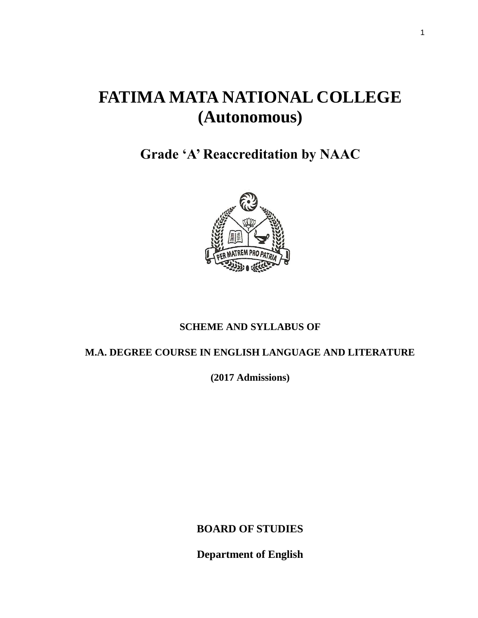# **FATIMA MATA NATIONAL COLLEGE (Autonomous)**

**Grade 'A' Reaccreditation by NAAC**



# **SCHEME AND SYLLABUS OF**

# **M.A. DEGREE COURSE IN ENGLISH LANGUAGE AND LITERATURE**

**(2017 Admissions)**

**BOARD OF STUDIES**

**Department of English**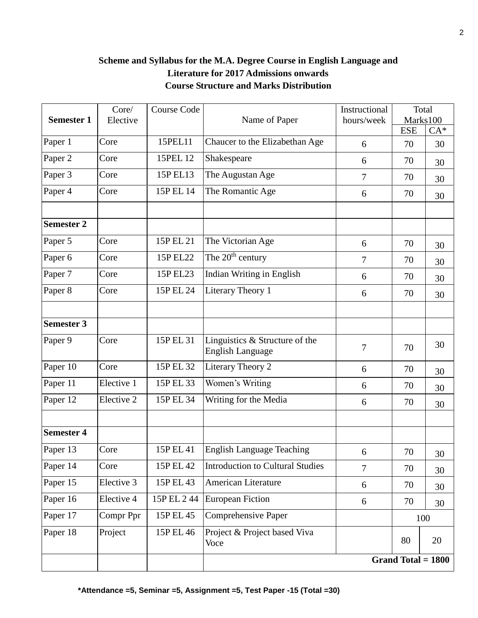# **Scheme and Syllabus for the M.A. Degree Course in English Language and Literature for 2017 Admissions onwards Course Structure and Marks Distribution**

|                   | Core/      | <b>Course Code</b> |                                                           | Instructional | Total                  |       |
|-------------------|------------|--------------------|-----------------------------------------------------------|---------------|------------------------|-------|
| <b>Semester 1</b> | Elective   |                    | Name of Paper                                             | hours/week    | Marks100<br><b>ESE</b> | $CA*$ |
| Paper 1           | Core       | 15PEL11            | Chaucer to the Elizabethan Age                            | 6             | 70                     | 30    |
| Paper 2           | Core       | 15PEL 12           | Shakespeare                                               | 6             | 70                     | 30    |
| Paper 3           | Core       | 15P EL13           | The Augustan Age                                          | $\tau$        | 70                     | 30    |
| Paper 4           | Core       | 15P EL 14          | The Romantic Age                                          | 6             | 70                     | 30    |
| <b>Semester 2</b> |            |                    |                                                           |               |                        |       |
| Paper 5           | Core       | 15P EL 21          | The Victorian Age                                         | 6             | 70                     | 30    |
| Paper 6           | Core       | 15P EL22           | The 20 <sup>th</sup> century                              | 7             | 70                     | 30    |
| Paper 7           | Core       | 15P EL23           | Indian Writing in English                                 | 6             | 70                     | 30    |
| Paper 8           | Core       | 15P EL 24          | Literary Theory 1                                         | 6             | 70                     | 30    |
|                   |            |                    |                                                           |               |                        |       |
| <b>Semester 3</b> |            |                    |                                                           |               |                        |       |
| Paper 9           | Core       | 15P EL 31          | Linguistics & Structure of the<br><b>English Language</b> | 7             | 70                     | 30    |
| Paper 10          | Core       | 15P EL 32          | Literary Theory 2                                         | 6             | 70                     | 30    |
| Paper 11          | Elective 1 | 15P EL 33          | Women's Writing                                           | 6             | 70                     | 30    |
| Paper 12          | Elective 2 | 15P EL 34          | Writing for the Media                                     | 6             | 70                     | 30    |
| <b>Semester 4</b> |            |                    |                                                           |               |                        |       |
| Paper 13          | Core       | 15P EL 41          | <b>English Language Teaching</b>                          |               | 70                     |       |
| Paper 14          | Core       | 15P EL 42          | <b>Introduction to Cultural Studies</b>                   | 6<br>$\tau$   | 70                     | 30    |
| Paper 15          | Elective 3 | 15P EL 43          | American Literature                                       | 6             | 70                     | 30    |
| Paper 16          | Elective 4 | 15P EL 244         | <b>European Fiction</b>                                   | 6             | 70                     | 30    |
| Paper 17          | Compr Ppr  | 15P EL 45          | Comprehensive Paper                                       |               | 100                    | 30    |
| Paper 18          | Project    | 15P EL 46          | Project & Project based Viva<br>Voce                      |               | 80                     | 20    |
|                   |            |                    |                                                           |               | Grand Total $= 1800$   |       |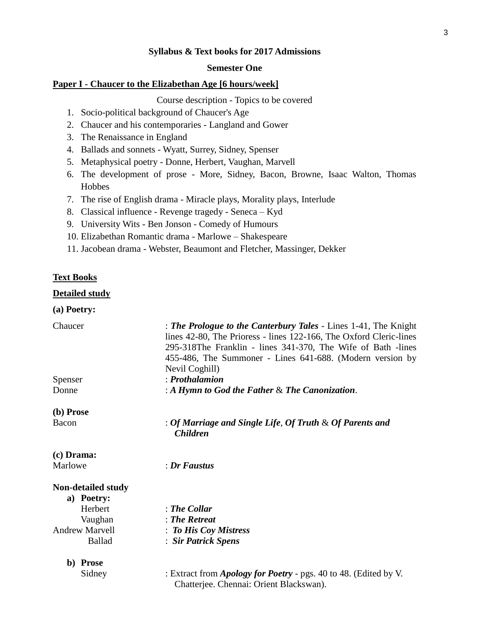#### **Syllabus & Text books for 2017 Admissions**

#### **Semester One**

#### **Paper I - Chaucer to the Elizabethan Age [6 hours/week]**

Course description - Topics to be covered

- 1. Socio-political background of Chaucer's Age
- 2. Chaucer and his contemporaries Langland and Gower
- 3. The Renaissance in England
- 4. Ballads and sonnets Wyatt, Surrey, Sidney, Spenser
- 5. Metaphysical poetry Donne, Herbert, Vaughan, Marvell
- 6. The development of prose More, Sidney, Bacon, Browne, Isaac Walton, Thomas Hobbes
- 7. The rise of English drama Miracle plays, Morality plays, Interlude
- 8. Classical influence Revenge tragedy Seneca Kyd
- 9. University Wits Ben Jonson Comedy of Humours
- 10. Elizabethan Romantic drama Marlowe Shakespeare
- 11. Jacobean drama Webster, Beaumont and Fletcher, Massinger, Dekker

#### **Text Books**

#### **Detailed study**

# **(a) Poetry:**

| Chaucer                   | : The Prologue to the Canterbury Tales - Lines 1-41, The Knight<br>lines 42-80, The Prioress - lines 122-166, The Oxford Cleric-lines |
|---------------------------|---------------------------------------------------------------------------------------------------------------------------------------|
|                           | 295-318The Franklin - lines 341-370, The Wife of Bath -lines                                                                          |
|                           | 455-486, The Summoner - Lines 641-688. (Modern version by                                                                             |
|                           | Nevil Coghill)                                                                                                                        |
| Spenser                   | $:$ Prothalamion                                                                                                                      |
| Donne                     | : A Hymn to God the Father $\&$ The Canonization.                                                                                     |
| (b) Prose                 |                                                                                                                                       |
| Bacon                     | : Of Marriage and Single Life, Of Truth $\&$ Of Parents and<br><b>Children</b>                                                        |
| (c) Drama:                |                                                                                                                                       |
| Marlowe                   | $\therefore$ Dr Faustus                                                                                                               |
| <b>Non-detailed study</b> |                                                                                                                                       |
| a) Poetry:                |                                                                                                                                       |
| Herbert                   | $:$ The Collar                                                                                                                        |
| Vaughan                   | $: The$ Retreat                                                                                                                       |
| <b>Andrew Marvell</b>     | : To His Coy Mistress                                                                                                                 |
| <b>Ballad</b>             | : Sir Patrick Spens                                                                                                                   |
| b) Prose                  |                                                                                                                                       |
| Sidney                    | : Extract from <i>Apology for Poetry</i> - pgs. 40 to 48. (Edited by V.<br>Chatterjee. Chennai: Orient Blackswan).                    |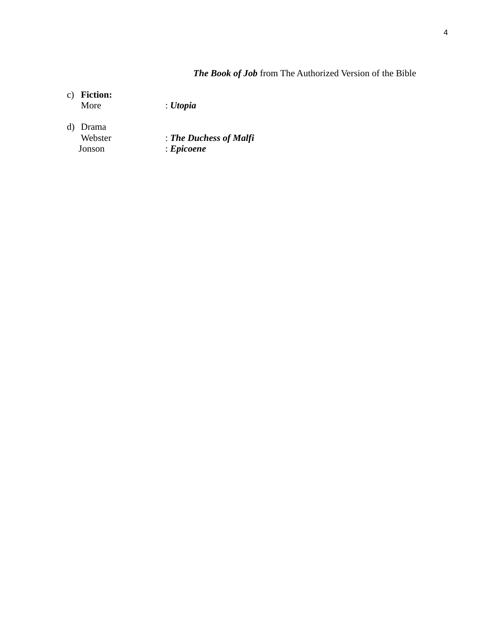# *The Book of Job* from The Authorized Version of the Bible

# c) **Fiction:**

More : *Utopia*

- d) Drama
	- Webster : *The Duchess of Malfi*<br>Jonson : *Epicoene* Jonson : *Epicoene*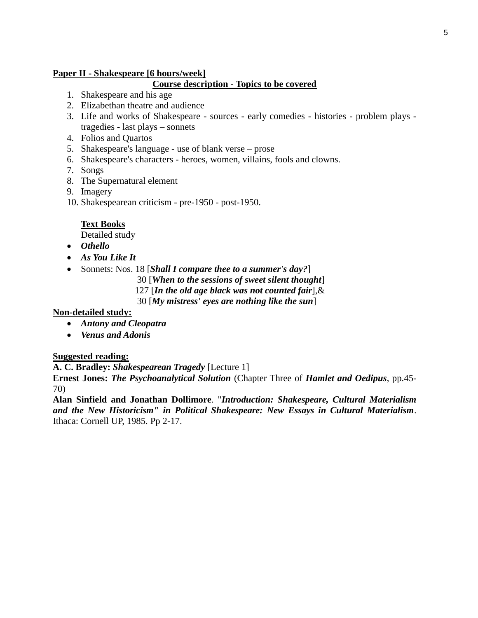### **Paper II - Shakespeare [6 hours/week]**

### **Course description - Topics to be covered**

- 1. Shakespeare and his age
- 2. Elizabethan theatre and audience
- 3. Life and works of Shakespeare sources early comedies histories problem plays tragedies - last plays – sonnets
- 4. Folios and Quartos
- 5. Shakespeare's language use of blank verse prose
- 6. Shakespeare's characters heroes, women, villains, fools and clowns.
- 7. Songs
- 8. The Supernatural element
- 9. Imagery
- 10. Shakespearean criticism pre-1950 post-1950.

#### **Text Books**

Detailed study

- *Othello*
- *As You Like It*
- Sonnets: Nos. 18 [*Shall I compare thee to a summer's day?*]
	- 30 [*When to the sessions of sweet silent thought*]
		- 127 [*In the old age black was not counted fair*],&
		- 30 [*My mistress' eyes are nothing like the sun*]

#### **Non-detailed study:**

- *Antony and Cleopatra*
- *Venus and Adonis*

#### **Suggested reading:**

**A. C. Bradley:** *Shakespearean Tragedy* [Lecture 1] **Ernest Jones:** *The Psychoanalytical Solution* (Chapter Three of *Hamlet and Oedipus*, pp.45- 70)

**Alan Sinfield and Jonathan Dollimore**. "*Introduction: Shakespeare, Cultural Materialism and the New Historicism" in Political Shakespeare: New Essays in Cultural Materialism*. Ithaca: Cornell UP, 1985. Pp 2-17.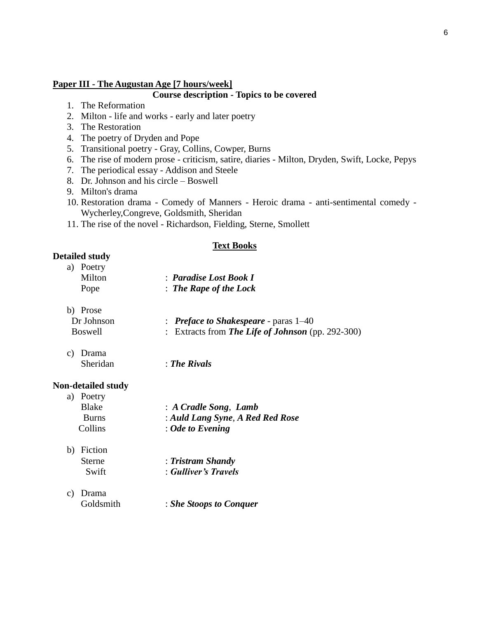#### **Paper III - The Augustan Age [7 hours/week]**

### **Course description - Topics to be covered**

- 1. The Reformation
- 2. Milton life and works early and later poetry
- 3. The Restoration
- 4. The poetry of Dryden and Pope
- 5. Transitional poetry Gray, Collins, Cowper, Burns
- 6. The rise of modern prose criticism, satire, diaries Milton, Dryden, Swift, Locke, Pepys
- 7. The periodical essay Addison and Steele
- 8. Dr. Johnson and his circle Boswell
- 9. Milton's drama
- 10. Restoration drama Comedy of Manners Heroic drama anti-sentimental comedy Wycherley,Congreve, Goldsmith, Sheridan
- 11. The rise of the novel Richardson, Fielding, Sterne, Smollett

#### **Text Books**

#### **Detailed study**

| a) Poetry |                                   |
|-----------|-----------------------------------|
| Milton    | : Paradise Lost Book I            |
| Pope      | $\therefore$ The Rape of the Lock |

b) Prose

| Dr Johnson | $\therefore$ Preface to Shakespeare - paras 1–40  |
|------------|---------------------------------------------------|
| Boswell    | : Extracts from The Life of Johnson (pp. 292-300) |

c) Drama

Sheridan : *The Rivals*

#### **Non-detailed study**

| a) Poetry      |                                  |
|----------------|----------------------------------|
| Blake          | : A Cradle Song, Lamb            |
| <b>Burns</b>   | : Auld Lang Syne, A Red Red Rose |
| <b>Collins</b> | $: Ode$ to Evening               |
|                |                                  |

- b) Fiction Sterne : *Tristram Shandy* Swift : *Gulliver's Travels*
- c) Drama

Goldsmith : *She Stoops to Conquer*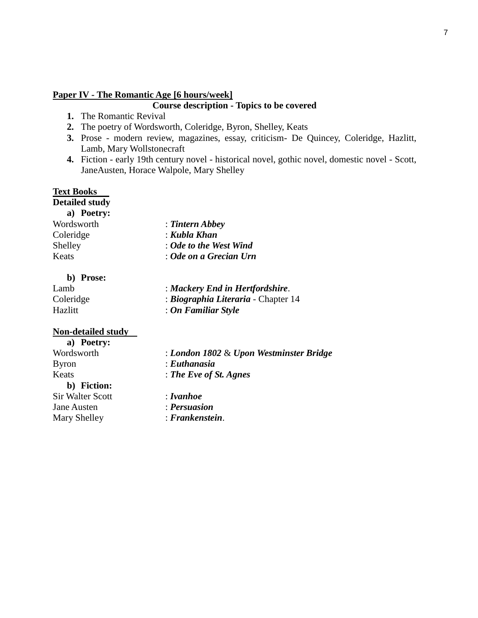#### **Paper IV - The Romantic Age [6 hours/week]**

#### **Course description - Topics to be covered**

- **1.** The Romantic Revival
- **2.** The poetry of Wordsworth, Coleridge, Byron, Shelley, Keats
- **3.** Prose modern review, magazines, essay, criticism- De Quincey, Coleridge, Hazlitt, Lamb, Mary Wollstonecraft
- **4.** Fiction early 19th century novel historical novel, gothic novel, domestic novel Scott, JaneAusten, Horace Walpole, Mary Shelley

# **Text Books**

**Detailed study**

| a) Poetry: |                        |
|------------|------------------------|
| Wordsworth | : Tintern Abbey        |
| Coleridge  | : Kubla Khan           |
| Shelley    | : Ode to the West Wind |
| Keats      | : Ode on a Grecian Urn |
|            |                        |

#### **b) Prose:**

| Lamb      | : Mackery End in Hertfordshire.                 |
|-----------|-------------------------------------------------|
| Coleridge | <i><b>Biographia Literaria - Chapter 14</b></i> |
| Hazlitt   | : On Familiar Style                             |

#### **Non-detailed study**

| a) Poetry:              |                                         |
|-------------------------|-----------------------------------------|
| Wordsworth              | : London 1802 & Upon Westminster Bridge |
| <b>Byron</b>            | : Euthanasia                            |
| Keats                   | : The Eve of St. Agnes                  |
| b) Fiction:             |                                         |
| <b>Sir Walter Scott</b> | : I van hoe                             |
| <b>Jane Austen</b>      | : Persuasion                            |
| Mary Shelley            | $:$ Frankenstein.                       |
|                         |                                         |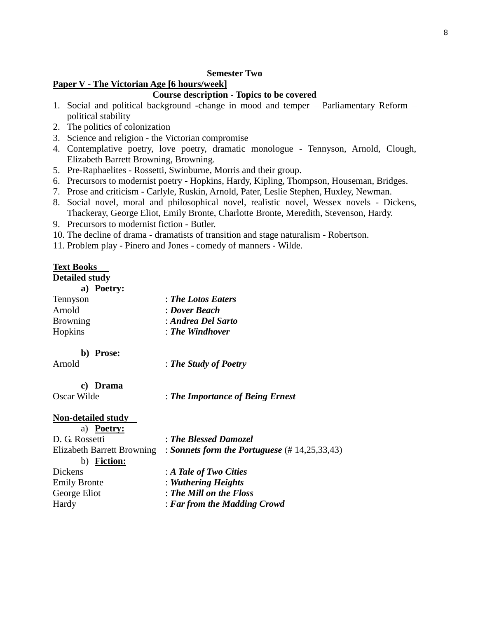#### **Semester Two**

#### **Paper V - The Victorian Age [6 hours/week]**

### **Course description - Topics to be covered**

- 1. Social and political background -change in mood and temper Parliamentary Reform political stability
- 2. The politics of colonization
- 3. Science and religion the Victorian compromise
- 4. Contemplative poetry, love poetry, dramatic monologue Tennyson, Arnold, Clough, Elizabeth Barrett Browning, Browning.
- 5. Pre-Raphaelites Rossetti, Swinburne, Morris and their group.
- 6. Precursors to modernist poetry Hopkins, Hardy, Kipling, Thompson, Houseman, Bridges.
- 7. Prose and criticism Carlyle, Ruskin, Arnold, Pater, Leslie Stephen, Huxley, Newman.
- 8. Social novel, moral and philosophical novel, realistic novel, Wessex novels Dickens, Thackeray, George Eliot, Emily Bronte, Charlotte Bronte, Meredith, Stevenson, Hardy.
- 9. Precursors to modernist fiction Butler.
- 10. The decline of drama dramatists of transition and stage naturalism Robertson.
- 11. Problem play Pinero and Jones comedy of manners Wilde.

### **Text Books**

**Detailed study**

|                 | a) Poetry: |                            |
|-----------------|------------|----------------------------|
| Tennyson        |            | : The Lotos Eaters         |
| Arnold          |            | : Dover Beach              |
| <b>Browning</b> |            | : Andrea Del Sarto         |
| Hopkins         |            | $\therefore$ The Windhover |
|                 |            |                            |

### **b) Prose:**

Arnold : *The Study of Poetry*

# **c) Drama**

Oscar Wilde : *The Importance of Being Ernest*

#### **Non-detailed study**

| <b>Poetry:</b><br>a)       |                                                             |
|----------------------------|-------------------------------------------------------------|
| D. G. Rossetti             | : The Blessed Damozel                                       |
| Elizabeth Barrett Browning | : Sonnets form the Portuguese $(\text{\# } 14, 25, 33, 43)$ |
| <b>Fiction:</b><br>b)      |                                                             |
| Dickens                    | : A Tale of Two Cities                                      |
| <b>Emily Bronte</b>        | : Wuthering Heights                                         |
| George Eliot               | : The Mill on the Floss                                     |
| Hardy                      | : Far from the Madding Crowd                                |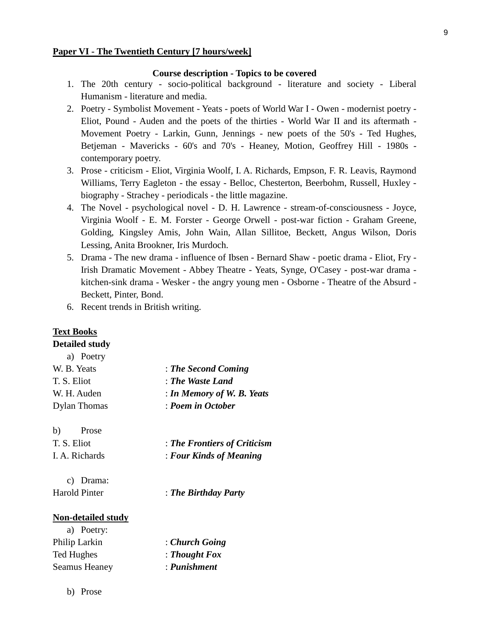#### **Paper VI - The Twentieth Century [7 hours/week]**

#### **Course description - Topics to be covered**

- 1. The 20th century socio-political background literature and society Liberal Humanism - literature and media.
- 2. Poetry Symbolist Movement Yeats poets of World War I Owen modernist poetry Eliot, Pound - Auden and the poets of the thirties - World War II and its aftermath - Movement Poetry - Larkin, Gunn, Jennings - new poets of the 50's - Ted Hughes, Betjeman - Mavericks - 60's and 70's - Heaney, Motion, Geoffrey Hill - 1980s contemporary poetry.
- 3. Prose criticism Eliot, Virginia Woolf, I. A. Richards, Empson, F. R. Leavis, Raymond Williams, Terry Eagleton - the essay - Belloc, Chesterton, Beerbohm, Russell, Huxley biography - Strachey - periodicals - the little magazine.
- 4. The Novel psychological novel D. H. Lawrence stream-of-consciousness Joyce, Virginia Woolf - E. M. Forster - George Orwell - post-war fiction - Graham Greene, Golding, Kingsley Amis, John Wain, Allan Sillitoe, Beckett, Angus Wilson, Doris Lessing, Anita Brookner, Iris Murdoch.
- 5. Drama The new drama influence of Ibsen Bernard Shaw poetic drama Eliot, Fry Irish Dramatic Movement - Abbey Theatre - Yeats, Synge, O'Casey - post-war drama kitchen-sink drama - Wesker - the angry young men - Osborne - Theatre of the Absurd - Beckett, Pinter, Bond.
- 6. Recent trends in British writing.

#### **Text Books Detailed study**

| a) Poetry                 |                              |
|---------------------------|------------------------------|
| W. B. Yeats               | : The Second Coming          |
| T. S. Eliot               | : The Waste Land             |
| W. H. Auden               | : In Memory of W. B. Yeats   |
| <b>Dylan Thomas</b>       | : Poem in October            |
| b)<br>Prose               |                              |
| T. S. Eliot               | : The Frontiers of Criticism |
| I. A. Richards            | : Four Kinds of Meaning      |
| C)<br>Drama:              |                              |
| <b>Harold Pinter</b>      | : The Birthday Party         |
| <b>Non-detailed study</b> |                              |
| a) Poetry:                |                              |
| Philip Larkin             | : Church Going               |
| Ted Hughes                | : Thought Fox                |

Seamus Heaney : *Punishment*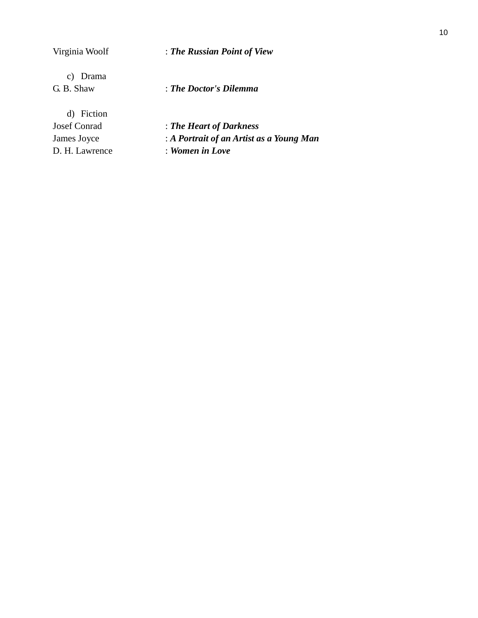| Virginia Woolf            | : The Russian Point of View              |
|---------------------------|------------------------------------------|
| Drama<br>C)<br>G. B. Shaw | : The Doctor's Dilemma                   |
| d) Fiction                |                                          |
| <b>Josef Conrad</b>       | : The Heart of Darkness                  |
| James Joyce               | : A Portrait of an Artist as a Young Man |
| D. H. Lawrence            | : Women in Love                          |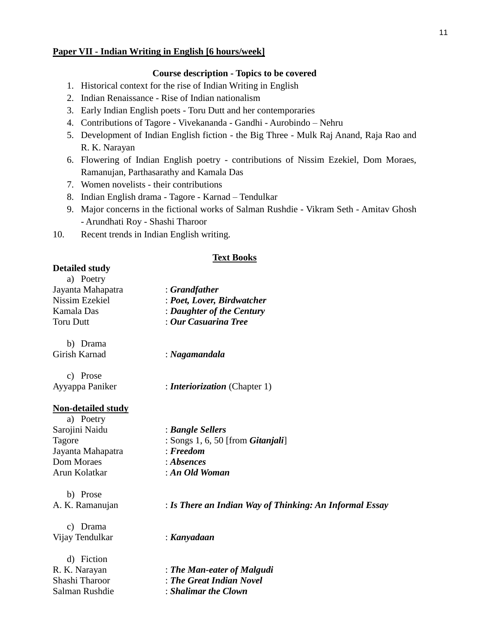#### **Paper VII - Indian Writing in English [6 hours/week]**

#### **Course description - Topics to be covered**

- 1. Historical context for the rise of Indian Writing in English
- 2. Indian Renaissance Rise of Indian nationalism
- 3. Early Indian English poets Toru Dutt and her contemporaries
- 4. Contributions of Tagore Vivekananda Gandhi Aurobindo Nehru
- 5. Development of Indian English fiction the Big Three Mulk Raj Anand, Raja Rao and R. K. Narayan
- 6. Flowering of Indian English poetry contributions of Nissim Ezekiel, Dom Moraes, Ramanujan, Parthasarathy and Kamala Das
- 7. Women novelists their contributions
- 8. Indian English drama Tagore Karnad Tendulkar
- 9. Major concerns in the fictional works of Salman Rushdie Vikram Seth Amitav Ghosh - Arundhati Roy - Shashi Tharoor
- 10. Recent trends in Indian English writing.

#### **Text Books**

#### **Detailed study**

| a) Poetry                 |                            |
|---------------------------|----------------------------|
| Jayanta Mahapatra         | : Grandfather              |
| Nissim Ezekiel            | : Poet, Lover, Birdwatcher |
| Kamala Das                | : Daughter of the Century  |
| Toru Dutt                 | : Our Casuarina Tree       |
| b) Drama<br>Girish Karnad | : Nagamandala              |
| rose                      |                            |

|                 | : <i>Interiorization</i> (Chapter 1) |
|-----------------|--------------------------------------|
| Ayyappa Paniker |                                      |

#### **Non-detailed study**

| a) Poetry         |                                           |
|-------------------|-------------------------------------------|
| Sarojini Naidu    | : Bangle Sellers                          |
| Tagore            | : Songs 1, 6, 50 [from <i>Gitanjali</i> ] |
| Jayanta Mahapatra | $:$ <i>Freedom</i>                        |
| Dom Moraes        | : Absences                                |
| Arun Kolatkar     | : An Old Woman                            |

b) Prose

A. K. Ramanujan : *Is There an Indian Way of Thinking: An Informal Essay*

c) Drama Vijay Tendulkar : *Kanyadaan*

d) Fiction Salman Rushdie : *Shalimar the Clown*

R. K. Narayan : *The Man-eater of Malgudi* Shashi Tharoor : *The Great Indian Novel*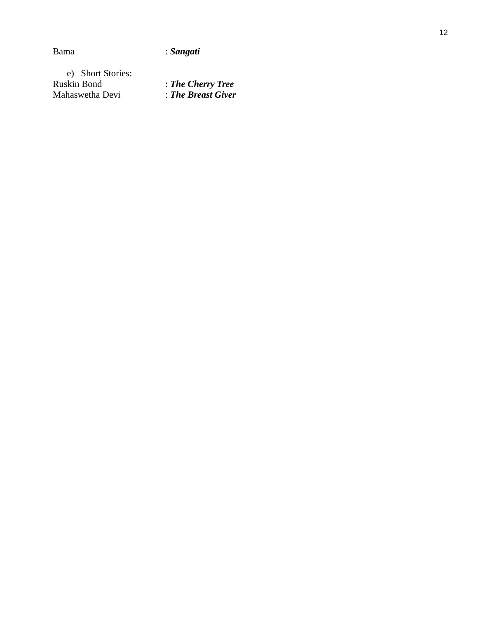# Bama : *Sangati*

e) Short Stories: Ruskin Bond<br>Mahaswetha Devi Mahaswetha Devi : *The Breast Giver*

d : *The Cherry Tree*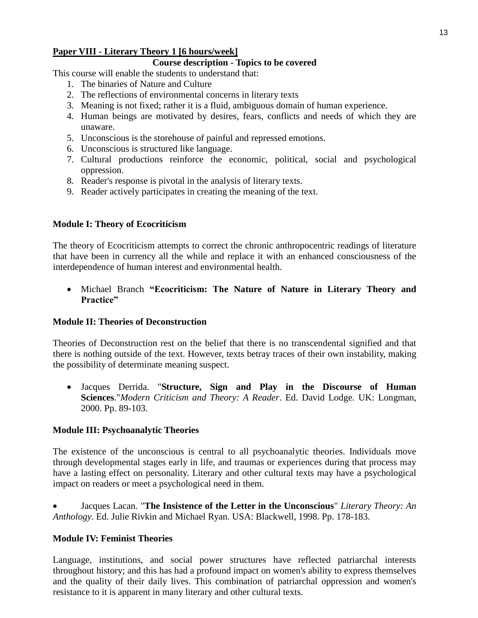# **Paper VIII - Literary Theory 1 [6 hours/week]**

# **Course description - Topics to be covered**

This course will enable the students to understand that:

- 1. The binaries of Nature and Culture
- 2. The reflections of environmental concerns in literary texts
- 3. Meaning is not fixed; rather it is a fluid, ambiguous domain of human experience.
- 4. Human beings are motivated by desires, fears, conflicts and needs of which they are unaware.
- 5. Unconscious is the storehouse of painful and repressed emotions.
- 6. Unconscious is structured like language.
- 7. Cultural productions reinforce the economic, political, social and psychological oppression.
- 8. Reader's response is pivotal in the analysis of literary texts.
- 9. Reader actively participates in creating the meaning of the text.

# **Module I: Theory of Ecocriticism**

The theory of Ecocriticism attempts to correct the chronic anthropocentric readings of literature that have been in currency all the while and replace it with an enhanced consciousness of the interdependence of human interest and environmental health.

• Michael Branch **"Ecocriticism: The Nature of Nature in Literary Theory and Practice"**

## **Module II: Theories of Deconstruction**

Theories of Deconstruction rest on the belief that there is no transcendental signified and that there is nothing outside of the text. However, texts betray traces of their own instability, making the possibility of determinate meaning suspect.

• Jacques Derrida. "**Structure, Sign and Play in the Discourse of Human Sciences**."*Modern Criticism and Theory: A Reader*. Ed. David Lodge. UK: Longman, 2000. Pp. 89-103.

## **Module III: Psychoanalytic Theories**

The existence of the unconscious is central to all psychoanalytic theories. Individuals move through developmental stages early in life, and traumas or experiences during that process may have a lasting effect on personality. Literary and other cultural texts may have a psychological impact on readers or meet a psychological need in them.

• Jacques Lacan. "**The Insistence of the Letter in the Unconscious**" *Literary Theory: An Anthology*. Ed. Julie Rivkin and Michael Ryan. USA: Blackwell, 1998. Pp. 178-183.

# **Module IV: Feminist Theories**

Language, institutions, and social power structures have reflected patriarchal interests throughout history; and this has had a profound impact on women's ability to express themselves and the quality of their daily lives. This combination of patriarchal oppression and women's resistance to it is apparent in many literary and other cultural texts.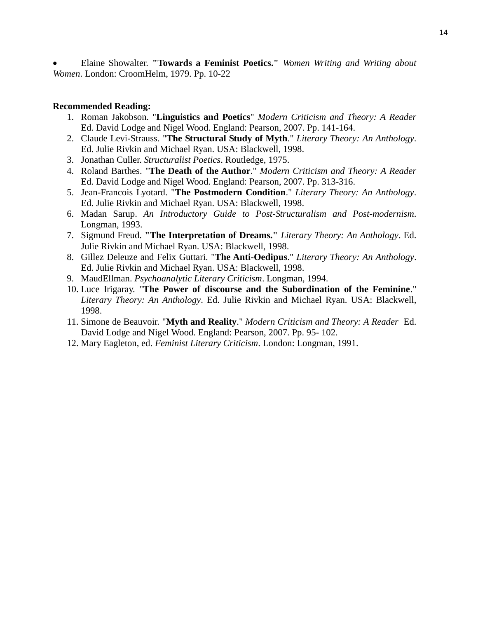• Elaine Showalter. **"Towards a Feminist Poetics."** *Women Writing and Writing about Women*. London: CroomHelm, 1979. Pp. 10-22

#### **Recommended Reading:**

- 1. Roman Jakobson. "**Linguistics and Poetics**" *Modern Criticism and Theory: A Reader* Ed. David Lodge and Nigel Wood. England: Pearson, 2007. Pp. 141-164.
- 2. Claude Levi-Strauss. "**The Structural Study of Myth**." *Literary Theory: An Anthology*. Ed. Julie Rivkin and Michael Ryan. USA: Blackwell, 1998.
- 3. Jonathan Culler. *Structuralist Poetics*. Routledge, 1975.
- 4. Roland Barthes. "**The Death of the Author**." *Modern Criticism and Theory: A Reader* Ed. David Lodge and Nigel Wood. England: Pearson, 2007. Pp. 313-316.
- 5. Jean-Francois Lyotard. "**The Postmodern Condition**." *Literary Theory: An Anthology*. Ed. Julie Rivkin and Michael Ryan. USA: Blackwell, 1998.
- 6. Madan Sarup. *An Introductory Guide to Post-Structuralism and Post-modernism*. Longman, 1993.
- 7. Sigmund Freud. **"The Interpretation of Dreams."** *Literary Theory: An Anthology*. Ed. Julie Rivkin and Michael Ryan. USA: Blackwell, 1998.
- 8. Gillez Deleuze and Felix Guttari. "**The Anti-Oedipus**." *Literary Theory: An Anthology*. Ed. Julie Rivkin and Michael Ryan. USA: Blackwell, 1998.
- 9. MaudEllman. *Psychoanalytic Literary Criticism*. Longman, 1994.
- 10. Luce Irigaray. "**The Power of discourse and the Subordination of the Feminine**." *Literary Theory: An Anthology*. Ed. Julie Rivkin and Michael Ryan. USA: Blackwell, 1998.
- 11. Simone de Beauvoir. "**Myth and Reality**." *Modern Criticism and Theory: A Reader* Ed. David Lodge and Nigel Wood. England: Pearson, 2007. Pp. 95- 102.
- 12. Mary Eagleton, ed. *Feminist Literary Criticism*. London: Longman, 1991.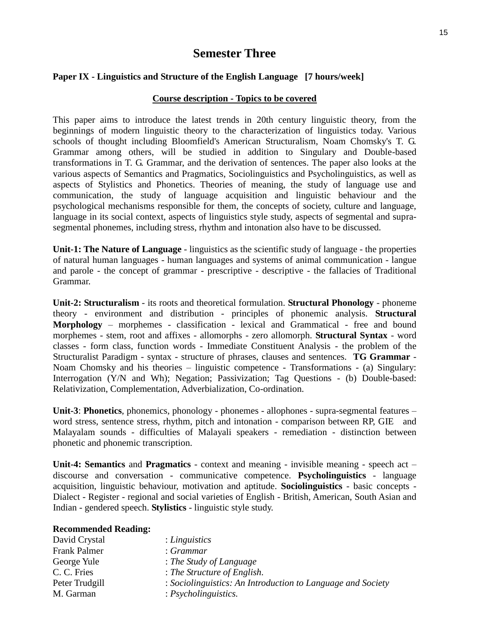# **Semester Three**

#### **Paper IX - Linguistics and Structure of the English Language [7 hours/week]**

#### **Course description - Topics to be covered**

This paper aims to introduce the latest trends in 20th century linguistic theory, from the beginnings of modern linguistic theory to the characterization of linguistics today. Various schools of thought including Bloomfield's American Structuralism, Noam Chomsky's T. G. Grammar among others, will be studied in addition to Singulary and Double-based transformations in T. G. Grammar, and the derivation of sentences. The paper also looks at the various aspects of Semantics and Pragmatics, Sociolinguistics and Psycholinguistics, as well as aspects of Stylistics and Phonetics. Theories of meaning, the study of language use and communication, the study of language acquisition and linguistic behaviour and the psychological mechanisms responsible for them, the concepts of society, culture and language, language in its social context, aspects of linguistics style study, aspects of segmental and suprasegmental phonemes, including stress, rhythm and intonation also have to be discussed.

**Unit-1: The Nature of Language** - linguistics as the scientific study of language - the properties of natural human languages - human languages and systems of animal communication - langue and parole - the concept of grammar - prescriptive - descriptive - the fallacies of Traditional Grammar.

**Unit-2: Structuralism** - its roots and theoretical formulation. **Structural Phonology** - phoneme theory - environment and distribution - principles of phonemic analysis. **Structural Morphology** – morphemes - classification - lexical and Grammatical - free and bound morphemes - stem, root and affixes - allomorphs - zero allomorph. **Structural Syntax** - word classes - form class, function words - Immediate Constituent Analysis - the problem of the Structuralist Paradigm - syntax - structure of phrases, clauses and sentences. **TG Grammar** - Noam Chomsky and his theories – linguistic competence - Transformations - (a) Singulary: Interrogation (Y/N and Wh); Negation; Passivization; Tag Questions - (b) Double-based: Relativization, Complementation, Adverbialization, Co-ordination.

**Unit-3**: **Phonetics**, phonemics, phonology - phonemes - allophones - supra-segmental features – word stress, sentence stress, rhythm, pitch and intonation - comparison between RP, GIE and Malayalam sounds - difficulties of Malayali speakers - remediation - distinction between phonetic and phonemic transcription.

**Unit-4: Semantics** and **Pragmatics** - context and meaning - invisible meaning - speech act – discourse and conversation - communicative competence. **Psycholinguistics** - language acquisition, linguistic behaviour, motivation and aptitude. **Sociolinguistics** - basic concepts - Dialect - Register - regional and social varieties of English - British, American, South Asian and Indian - gendered speech. **Stylistics** - linguistic style study.

| : Linguistics                                               |
|-------------------------------------------------------------|
| : Grammar                                                   |
| $\therefore$ The Study of Language                          |
| : The Structure of English.                                 |
| : Sociolinguistics: An Introduction to Language and Society |
| $: \mathit{Psycholinguistics}.$                             |
|                                                             |

**Recommended Reading:**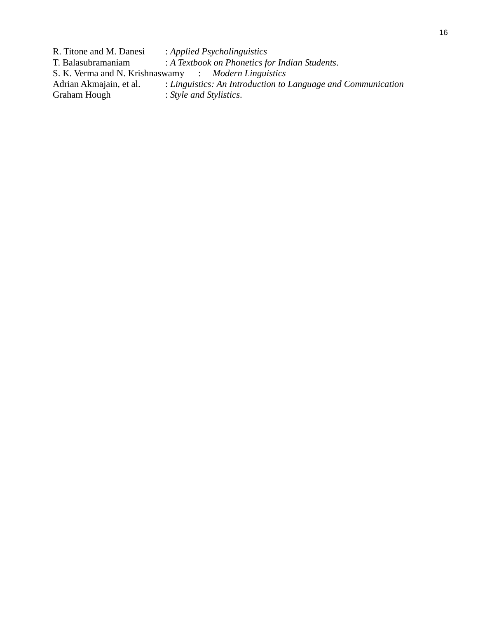R. Titone and M. Danesi : *Applied Psycholinguistics*<br>T. Balasubramaniam : *A Textbook on Phonetics for* : A Textbook on Phonetics for Indian Students. S. K. Verma and N. Krishnaswamy : *Modern Linguistics* Adrian Akmajain, et al. : *Linguistics: An Introduction to Language and Communication*<br>Graham Hough : *Style and Stylistics*. : Style and Stylistics.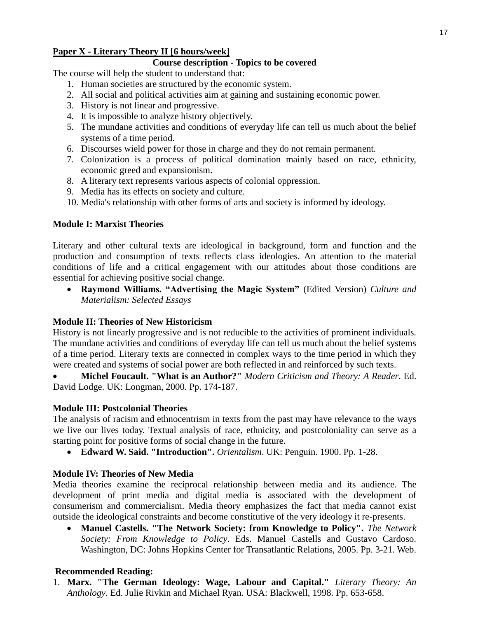# **Paper X - Literary Theory II [6 hours/week]**

# **Course description - Topics to be covered**

The course will help the student to understand that:

- 1. Human societies are structured by the economic system.
- 2. All social and political activities aim at gaining and sustaining economic power.
- 3. History is not linear and progressive.
- 4. It is impossible to analyze history objectively.
- 5. The mundane activities and conditions of everyday life can tell us much about the belief systems of a time period.
- 6. Discourses wield power for those in charge and they do not remain permanent.
- 7. Colonization is a process of political domination mainly based on race, ethnicity, economic greed and expansionism.
- 8. A literary text represents various aspects of colonial oppression.
- 9. Media has its effects on society and culture.
- 10. Media's relationship with other forms of arts and society is informed by ideology.

# **Module I: Marxist Theories**

Literary and other cultural texts are ideological in background, form and function and the production and consumption of texts reflects class ideologies. An attention to the material conditions of life and a critical engagement with our attitudes about those conditions are essential for achieving positive social change.

• **Raymond Williams. "Advertising the Magic System"** (Edited Version) *Culture and Materialism: Selected Essays* 

# **Module II: Theories of New Historicism**

History is not linearly progressive and is not reducible to the activities of prominent individuals. The mundane activities and conditions of everyday life can tell us much about the belief systems of a time period. Literary texts are connected in complex ways to the time period in which they were created and systems of social power are both reflected in and reinforced by such texts.

• **Michel Foucault. "What is an Author?"** *Modern Criticism and Theory: A Reader*. Ed. David Lodge. UK: Longman, 2000. Pp. 174-187.

# **Module III: Postcolonial Theories**

The analysis of racism and ethnocentrism in texts from the past may have relevance to the ways we live our lives today. Textual analysis of race, ethnicity, and postcoloniality can serve as a starting point for positive forms of social change in the future.

• **Edward W. Said. "Introduction".** *Orientalism*. UK: Penguin. 1900. Pp. 1-28.

# **Module IV: Theories of New Media**

Media theories examine the reciprocal relationship between media and its audience. The development of print media and digital media is associated with the development of consumerism and commercialism. Media theory emphasizes the fact that media cannot exist outside the ideological constraints and become constitutive of the very ideology it re-presents.

• **Manuel Castells. "The Network Society: from Knowledge to Policy".** *The Network Society: From Knowledge to Policy*. Eds. Manuel Castells and Gustavo Cardoso. Washington, DC: Johns Hopkins Center for Transatlantic Relations, 2005. Pp. 3-21. Web.

# **Recommended Reading:**

1. **Marx. "The German Ideology: Wage, Labour and Capital."** *Literary Theory: An Anthology*. Ed. Julie Rivkin and Michael Ryan. USA: Blackwell, 1998. Pp. 653-658.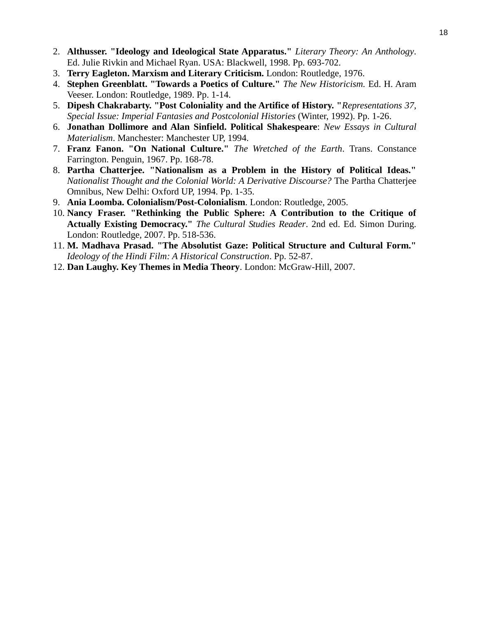- 2. **Althusser. "Ideology and Ideological State Apparatus."** *Literary Theory: An Anthology*. Ed. Julie Rivkin and Michael Ryan. USA: Blackwell, 1998. Pp. 693-702.
- 3. **Terry Eagleton. Marxism and Literary Criticism.** London: Routledge, 1976.
- 4. **Stephen Greenblatt. "Towards a Poetics of Culture."** *The New Historicism.* Ed. H. Aram Veeser. London: Routledge, 1989. Pp. 1-14.
- 5. **Dipesh Chakrabarty. "Post Coloniality and the Artifice of History. "***Representations 37, Special Issue: Imperial Fantasies and Postcolonial Histories* (Winter, 1992). Pp. 1-26.
- 6. **Jonathan Dollimore and Alan Sinfield. Political Shakespeare**: *New Essays in Cultural Materialism*. Manchester: Manchester UP, 1994.
- 7. **Franz Fanon. "On National Culture."** *The Wretched of the Earth*. Trans. Constance Farrington. Penguin, 1967. Pp. 168-78.
- 8. **Partha Chatterjee. "Nationalism as a Problem in the History of Political Ideas."** *Nationalist Thought and the Colonial World: A Derivative Discourse?* The Partha Chatterjee Omnibus, New Delhi: Oxford UP, 1994. Pp. 1-35.
- 9. **Ania Loomba. Colonialism/Post-Colonialism**. London: Routledge, 2005.
- 10. **Nancy Fraser. "Rethinking the Public Sphere: A Contribution to the Critique of Actually Existing Democracy."** *The Cultural Studies Reader*. 2nd ed. Ed. Simon During. London: Routledge, 2007. Pp. 518-536.
- 11. **M. Madhava Prasad. "The Absolutist Gaze: Political Structure and Cultural Form."** *Ideology of the Hindi Film: A Historical Construction*. Pp. 52-87.
- 12. **Dan Laughy. Key Themes in Media Theory**. London: McGraw-Hill, 2007.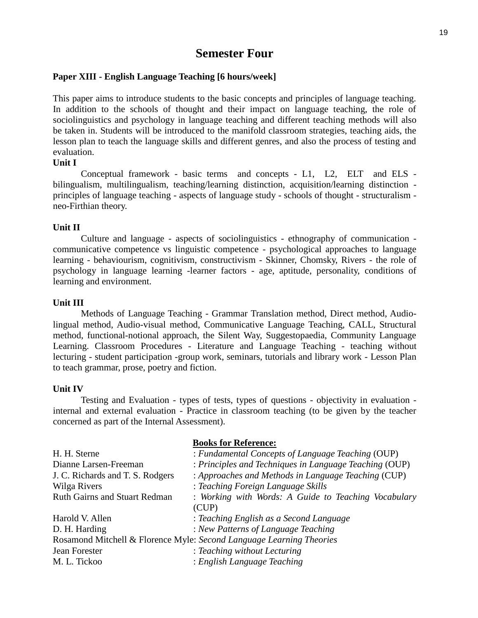# **Semester Four**

#### **Paper XIII - English Language Teaching [6 hours/week]**

This paper aims to introduce students to the basic concepts and principles of language teaching. In addition to the schools of thought and their impact on language teaching, the role of sociolinguistics and psychology in language teaching and different teaching methods will also be taken in. Students will be introduced to the manifold classroom strategies, teaching aids, the lesson plan to teach the language skills and different genres, and also the process of testing and evaluation.

#### **Unit I**

Conceptual framework - basic terms and concepts - L1, L2, ELT and ELS bilingualism, multilingualism, teaching/learning distinction, acquisition/learning distinction principles of language teaching - aspects of language study - schools of thought - structuralism neo-Firthian theory.

#### **Unit II**

Culture and language - aspects of sociolinguistics - ethnography of communication communicative competence vs linguistic competence - psychological approaches to language learning - behaviourism, cognitivism, constructivism - Skinner, Chomsky, Rivers - the role of psychology in language learning -learner factors - age, aptitude, personality, conditions of learning and environment.

#### **Unit III**

Methods of Language Teaching - Grammar Translation method, Direct method, Audiolingual method, Audio-visual method, Communicative Language Teaching, CALL, Structural method, functional-notional approach, the Silent Way, Suggestopaedia, Community Language Learning. Classroom Procedures - Literature and Language Teaching - teaching without lecturing - student participation -group work, seminars, tutorials and library work - Lesson Plan to teach grammar, prose, poetry and fiction.

#### **Unit IV**

Testing and Evaluation - types of tests, types of questions - objectivity in evaluation internal and external evaluation - Practice in classroom teaching (to be given by the teacher concerned as part of the Internal Assessment).

**Books for Reference:**

|                                      | <b>BOOKS IOP REFERENCE:</b>                                          |
|--------------------------------------|----------------------------------------------------------------------|
| H. H. Sterne                         | : Fundamental Concepts of Language Teaching (OUP)                    |
| Dianne Larsen-Freeman                | : Principles and Techniques in Language Teaching (OUP)               |
| J. C. Richards and T. S. Rodgers     | : Approaches and Methods in Language Teaching (CUP)                  |
| Wilga Rivers                         | : Teaching Foreign Language Skills                                   |
| <b>Ruth Gairns and Stuart Redman</b> | : Working with Words: A Guide to Teaching Vocabulary                 |
|                                      | (CUP)                                                                |
| Harold V. Allen                      | : Teaching English as a Second Language                              |
| D. H. Harding                        | : New Patterns of Language Teaching                                  |
|                                      | Rosamond Mitchell & Florence Myle: Second Language Learning Theories |
| Jean Forester                        | : Teaching without Lecturing                                         |
| M. L. Tickoo                         | : English Language Teaching                                          |
|                                      |                                                                      |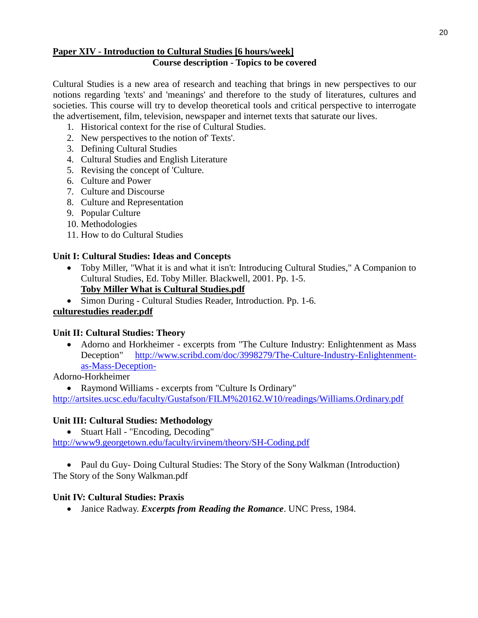#### **Paper XIV - Introduction to Cultural Studies [6 hours/week] Course description - Topics to be covered**

Cultural Studies is a new area of research and teaching that brings in new perspectives to our notions regarding 'texts' and 'meanings' and therefore to the study of literatures, cultures and societies. This course will try to develop theoretical tools and critical perspective to interrogate the advertisement, film, television, newspaper and internet texts that saturate our lives.

- 1. Historical context for the rise of Cultural Studies.
- 2. New perspectives to the notion of' Texts'.
- 3. Defining Cultural Studies
- 4. Cultural Studies and English Literature
- 5. Revising the concept of 'Culture.
- 6. Culture and Power
- 7. Culture and Discourse
- 8. Culture and Representation
- 9. Popular Culture
- 10. Methodologies
- 11. How to do Cultural Studies

#### **Unit I: Cultural Studies: Ideas and Concepts**

• Toby Miller, "What it is and what it isn't: Introducing Cultural Studies," A Companion to Cultural Studies, Ed. Toby Miller. Blackwell, 2001. Pp. 1-5.

# **Toby Miller What is Cultural Studies.pdf**

• Simon During - Cultural Studies Reader, Introduction. Pp. 1-6.

#### **culturestudies reader.pdf**

#### **Unit II: Cultural Studies: Theory**

• Adorno and Horkheimer - excerpts from "The Culture Industry: Enlightenment as Mass Deception" [http://www.scribd.com/doc/3998279/The-Culture-Industry-Enlightenment](http://www.scribd.com/doc/3998279/The-Culture-Industry-Enlightenment-as-Mass-Deception-)[as-Mass-Deception-](http://www.scribd.com/doc/3998279/The-Culture-Industry-Enlightenment-as-Mass-Deception-)

#### Adorno-Horkheimer

• Raymond Williams - excerpts from "Culture Is Ordinary"

<http://artsites.ucsc.edu/faculty/Gustafson/FILM%20162.W10/readings/Williams.Ordinary.pdf>

#### **Unit III: Cultural Studies: Methodology**

• Stuart Hall - "Encoding, Decoding"

<http://www9.georgetown.edu/faculty/irvinem/theory/SH-Coding.pdf>

• Paul du Guy- Doing Cultural Studies: The Story of the Sony Walkman (Introduction) The Story of the Sony Walkman.pdf

#### **Unit IV: Cultural Studies: Praxis**

• Janice Radway. *Excerpts from Reading the Romance*. UNC Press, 1984.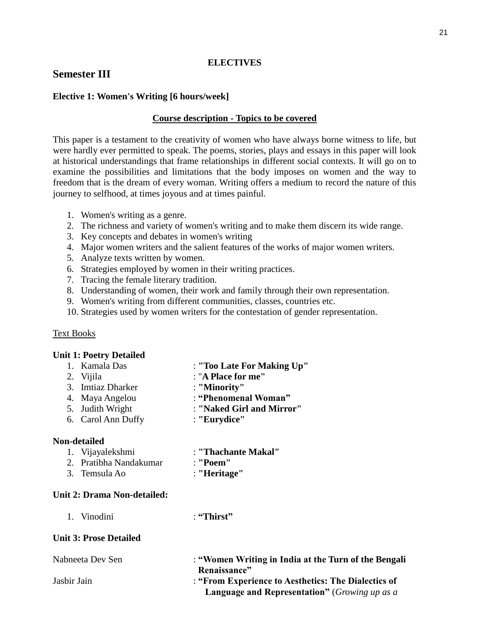### **ELECTIVES**

# **Semester III**

### **Elective 1: Women's Writing [6 hours/week]**

### **Course description - Topics to be covered**

This paper is a testament to the creativity of women who have always borne witness to life, but were hardly ever permitted to speak. The poems, stories, plays and essays in this paper will look at historical understandings that frame relationships in different social contexts. It will go on to examine the possibilities and limitations that the body imposes on women and the way to freedom that is the dream of every woman. Writing offers a medium to record the nature of this journey to selfhood, at times joyous and at times painful.

- 1. Women's writing as a genre.
- 2. The richness and variety of women's writing and to make them discern its wide range.
- 3. Key concepts and debates in women's writing
- 4. Major women writers and the salient features of the works of major women writers.
- 5. Analyze texts written by women.
- 6. Strategies employed by women in their writing practices.
- 7. Tracing the female literary tradition.
- 8. Understanding of women, their work and family through their own representation.
- 9. Women's writing from different communities, classes, countries etc.
- 10. Strategies used by women writers for the contestation of gender representation.

#### Text Books

#### **Unit 1: Poetry Detailed**

| 1. Kamala Das     | : "Too Late For Making Up" |
|-------------------|----------------------------|
| 2. Vijila         | : "A Place for me"         |
| 3. Imtiaz Dharker | : "Minority"               |
| 4. Maya Angelou   | : "Phenomenal Woman"       |

- 5. Judith Wright : **"Naked Girl and Mirror"**
- 6. Carol Ann Duffy : **"Eurydice"**

#### **Non-detailed**

| 1. Vijayalekshmi       | : "Thachante Makal" |
|------------------------|---------------------|
| 2. Pratibha Nandakumar | : "Poem"            |
| 3. Temsula Ao          | : "Heritage"        |

## **Unit 2: Drama Non-detailed:**

1. Vinodini : **"Thirst"**

#### **Unit 3: Prose Detailed**

| Nabneeta Dev Sen | : "Women Writing in India at the Turn of the Bengali          |
|------------------|---------------------------------------------------------------|
|                  | Renaissance"                                                  |
| Jasbir Jain      | : "From Experience to Aesthetics: The Dialectics of           |
|                  | <b>Language and Representation</b> " ( <i>Growing up as a</i> |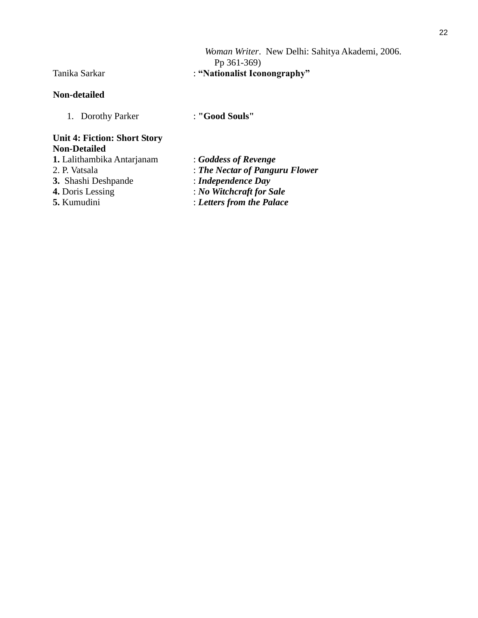#### **Non-detailed**

1. Dorothy Parker : **"Good Souls"**

#### **Unit 4: Fiction: Short Story Non-Detailed**

- **1.** Lalithambika Antarjanam : *Goddess of Revenge*
- 
- **3.** Shashi Deshpande<br>**4.** Doris Lessing
- 
- 
- 
- 2. P. Vatsala : *The Nectar of Panguru Flower*<br>
3. Shashi Deshpande : *Independence Day* 
	-
	- **4.** Doris Lessing : *No Witchcraft for Sale*
- **5.** Kumudini : *Letters from the Palace*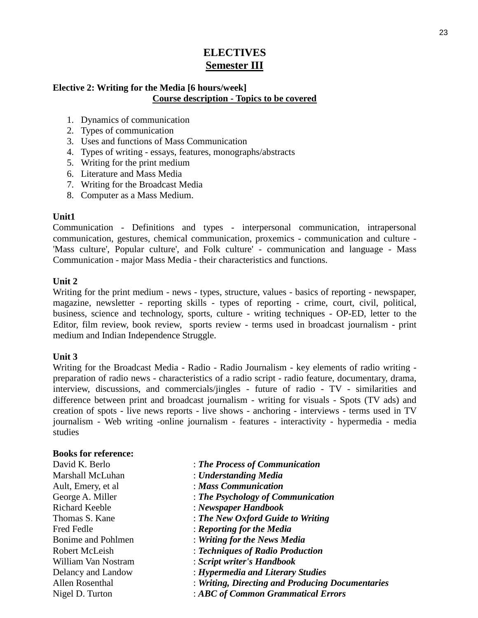# **ELECTIVES Semester III**

### **Elective 2: Writing for the Media [6 hours/week] Course description - Topics to be covered**

- 1. Dynamics of communication
- 2. Types of communication
- 3. Uses and functions of Mass Communication
- 4. Types of writing essays, features, monographs/abstracts
- 5. Writing for the print medium
- 6. Literature and Mass Media
- 7. Writing for the Broadcast Media
- 8. Computer as a Mass Medium.

### **Unit1**

Communication - Definitions and types - interpersonal communication, intrapersonal communication, gestures, chemical communication, proxemics - communication and culture - 'Mass culture', Popular culture', and Folk culture' - communication and language - Mass Communication - major Mass Media - their characteristics and functions.

### **Unit 2**

Writing for the print medium - news - types, structure, values - basics of reporting - newspaper, magazine, newsletter - reporting skills - types of reporting - crime, court, civil, political, business, science and technology, sports, culture - writing techniques - OP-ED, letter to the Editor, film review, book review, sports review - terms used in broadcast journalism - print medium and Indian Independence Struggle.

#### **Unit 3**

Writing for the Broadcast Media - Radio - Radio Journalism - key elements of radio writing preparation of radio news - characteristics of a radio script - radio feature, documentary, drama, interview, discussions, and commercials/jingles - future of radio - TV - similarities and difference between print and broadcast journalism - writing for visuals - Spots (TV ads) and creation of spots - live news reports - live shows - anchoring - interviews - terms used in TV journalism - Web writing -online journalism - features - interactivity - hypermedia - media studies

#### **Books for reference:**

| David K. Berlo        | : The Process of Communication                   |
|-----------------------|--------------------------------------------------|
| Marshall McLuhan      | : Understanding Media                            |
| Ault, Emery, et al.   | : Mass Communication                             |
| George A. Miller      | $\therefore$ The Psychology of Communication     |
| <b>Richard Keeble</b> | $\therefore$ Newspaper Handbook                  |
| Thomas S. Kane        | : The New Oxford Guide to Writing                |
| <b>Fred Fedle</b>     | : Reporting for the Media                        |
| Bonime and Pohlmen    | : Writing for the News Media                     |
| Robert McLeish        | : Techniques of Radio Production                 |
| William Van Nostram   | : Script writer's Handbook                       |
| Delancy and Landow    | : Hypermedia and Literary Studies                |
| Allen Rosenthal       | : Writing, Directing and Producing Documentaries |
| Nigel D. Turton       | : ABC of Common Grammatical Errors               |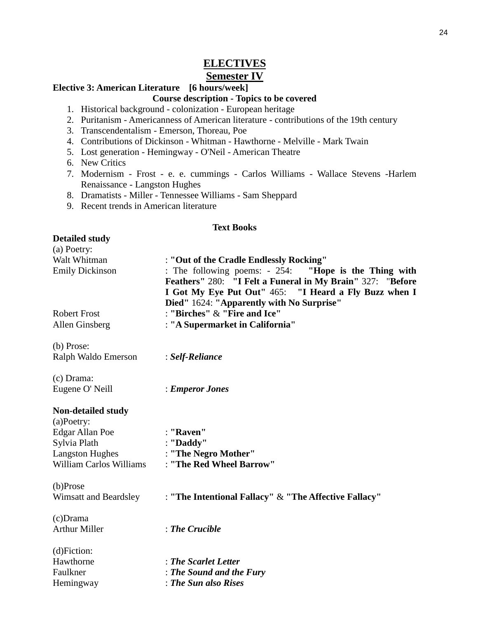# **ELECTIVES**

# **Semester IV**

#### **Elective 3: American Literature [6 hours/week]**

#### **Course description - Topics to be covered**

- 1. Historical background colonization European heritage
- 2. Puritanism Americanness of American literature contributions of the 19th century
- 3. Transcendentalism Emerson, Thoreau, Poe
- 4. Contributions of Dickinson Whitman Hawthorne Melville Mark Twain
- 5. Lost generation Hemingway O'Neil American Theatre
- 6. New Critics
- 7. Modernism Frost e. e. cummings Carlos Williams Wallace Stevens -Harlem Renaissance - Langston Hughes
- 8. Dramatists Miller Tennessee Williams Sam Sheppard
- 9. Recent trends in American literature

#### **Text Books**

#### **Detailed study**

| Deuneu biuu i<br>(a) Poetry: |                                                            |
|------------------------------|------------------------------------------------------------|
| Walt Whitman                 | : "Out of the Cradle Endlessly Rocking"                    |
| <b>Emily Dickinson</b>       | : The following poems: - 254: "Hope is the Thing with      |
|                              | Feathers" 280: "I Felt a Funeral in My Brain" 327: "Before |
|                              | I Got My Eye Put Out" 465: "I Heard a Fly Buzz when I      |
|                              | Died" 1624: "Apparently with No Surprise"                  |
| <b>Robert Frost</b>          | : "Birches" & "Fire and Ice"                               |
| Allen Ginsberg               | : "A Supermarket in California"                            |
| (b) Prose:                   |                                                            |
| Ralph Waldo Emerson          | : Self-Reliance                                            |
| (c) Drama:                   |                                                            |
| Eugene O' Neill              | : Emperor Jones                                            |
| <b>Non-detailed study</b>    |                                                            |
| $(a)$ Poetry:                |                                                            |
| <b>Edgar Allan Poe</b>       | : "Raven"                                                  |
| Sylvia Plath                 | : "Daddy"                                                  |
| <b>Langston Hughes</b>       | : "The Negro Mother"                                       |
| William Carlos Williams      | : "The Red Wheel Barrow"                                   |
| (b)Prose                     |                                                            |
| Wimsatt and Beardsley        | : "The Intentional Fallacy" & "The Affective Fallacy"      |
| $(c)$ Drama                  |                                                            |
| <b>Arthur Miller</b>         | $:$ The Crucible                                           |
| $(d)$ Fiction:               |                                                            |
| Hawthorne                    | : The Scarlet Letter                                       |
| Faulkner                     | : The Sound and the Fury                                   |
| Hemingway                    | : The Sun also Rises                                       |
|                              |                                                            |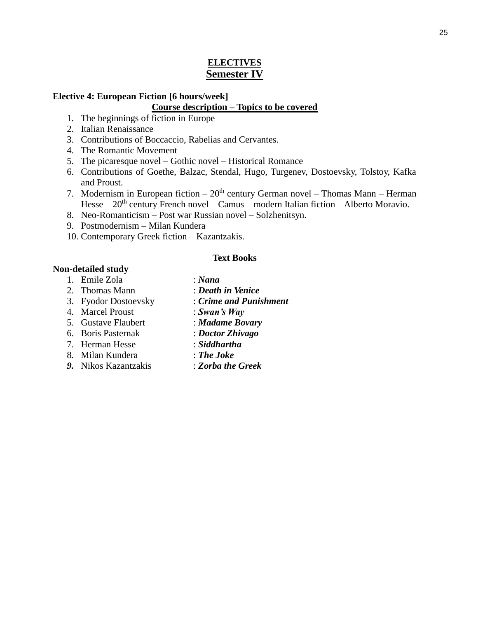# **ELECTIVES Semester IV**

#### **Elective 4: European Fiction [6 hours/week]**

#### **Course description – Topics to be covered**

- 1. The beginnings of fiction in Europe
- 2. Italian Renaissance
- 3. Contributions of Boccaccio, Rabelias and Cervantes.
- 4. The Romantic Movement
- 5. The picaresque novel Gothic novel Historical Romance
- 6. Contributions of Goethe, Balzac, Stendal, Hugo, Turgenev, Dostoevsky, Tolstoy, Kafka and Proust.
- 7. Modernism in European fiction  $-20<sup>th</sup>$  century German novel Thomas Mann Herman Hesse  $-20<sup>th</sup>$  century French novel – Camus – modern Italian fiction – Alberto Moravio.
- 8. Neo-Romanticism Post war Russian novel Solzhenitsyn.
- 9. Postmodernism Milan Kundera
- 10. Contemporary Greek fiction Kazantzakis.

#### **Text Books**

#### **Non-detailed study**

- 1. Emile Zola : *Nana*
- 2. Thomas Mann : *Death in Venice*
- 3. Fyodor Dostoevsky : *Crime and Punishment*
- 4. Marcel Proust : *Swan's Way*
- 
- 6. Boris Pasternak : *Doctor Zhivago*
- 7. Herman Hesse : *Siddhartha*
- 8. Milan Kundera : *The Joke*
- 
- 
- 
- 5. Gustave Flaubert : *Madame Bovary*
	-
	-
	-
- *9.* Nikos Kazantzakis : *Zorba the Greek*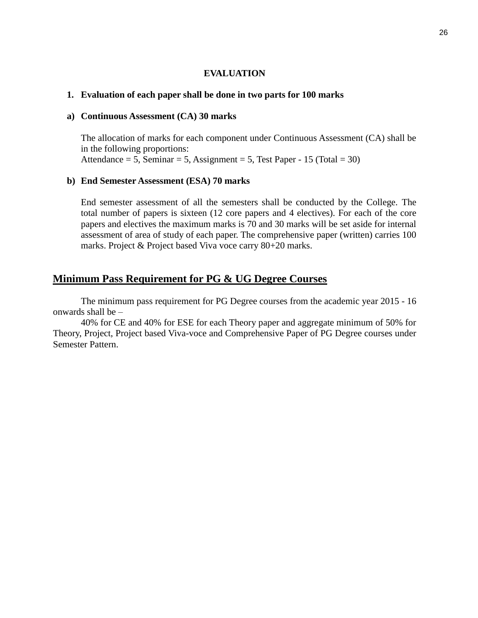#### **EVALUATION**

#### **1. Evaluation of each paper shall be done in two parts for 100 marks**

#### **a) Continuous Assessment (CA) 30 marks**

The allocation of marks for each component under Continuous Assessment (CA) shall be in the following proportions: Attendance  $= 5$ , Seminar  $= 5$ , Assignment  $= 5$ , Test Paper - 15 (Total  $= 30$ )

#### **b) End Semester Assessment (ESA) 70 marks**

End semester assessment of all the semesters shall be conducted by the College. The total number of papers is sixteen (12 core papers and 4 electives). For each of the core papers and electives the maximum marks is 70 and 30 marks will be set aside for internal assessment of area of study of each paper. The comprehensive paper (written) carries 100 marks. Project & Project based Viva voce carry 80+20 marks.

## **Minimum Pass Requirement for PG & UG Degree Courses**

The minimum pass requirement for PG Degree courses from the academic year 2015 - 16 onwards shall be –

40% for CE and 40% for ESE for each Theory paper and aggregate minimum of 50% for Theory, Project, Project based Viva-voce and Comprehensive Paper of PG Degree courses under Semester Pattern.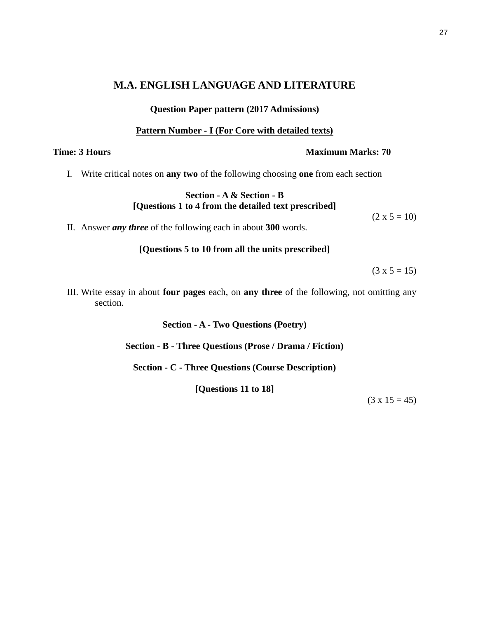# **M.A. ENGLISH LANGUAGE AND LITERATURE**

#### **Question Paper pattern (2017 Admissions)**

#### **Pattern Number - I (For Core with detailed texts)**

I. Write critical notes on **any two** of the following choosing **one** from each section

#### **Section - A & Section - B [Questions 1 to 4 from the detailed text prescribed]**

II. Answer *any three* of the following each in about **300** words.

**[Questions 5 to 10 from all the units prescribed]**

 $(3 x 5 = 15)$ 

 $(2 \times 5 = 10)$ 

III. Write essay in about **four pages** each, on **any three** of the following, not omitting any section.

**Section - A - Two Questions (Poetry)**

**Section - B - Three Questions (Prose / Drama / Fiction)**

**Section - C - Three Questions (Course Description)**

**[Questions 11 to 18]**

 $(3 \times 15 = 45)$ 

#### **Time: 3 Hours Maximum Marks: 70**